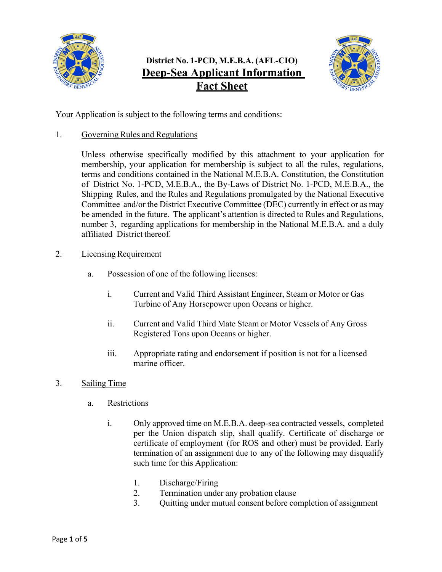

# **District No. 1-PCD, M.E.B.A. (AFL-CIO) Deep-Sea Applicant Information Fact Sheet**



Your Application is subject to the following terms and conditions:

1. Governing Rules and Regulations

Unless otherwise specifically modified by this attachment to your application for membership, your application for membership is subject to all the rules, regulations, terms and conditions contained in the National M.E.B.A. Constitution, the Constitution of District No. 1-PCD, M.E.B.A., the By-Laws of District No. 1-PCD, M.E.B.A., the Shipping Rules, and the Rules and Regulations promulgated by the National Executive Committee and/or the District Executive Committee (DEC) currently in effect or as may be amended in the future. The applicant's attention is directed to Rules and Regulations, number 3, regarding applications for membership in the National M.E.B.A. and a duly affiliated District thereof.

- 2. Licensing Requirement
	- a. Possession of one of the following licenses:
		- i. Current and Valid Third Assistant Engineer, Steam or Motor or Gas Turbine of Any Horsepower upon Oceans or higher.
		- ii. Current and Valid Third Mate Steam or Motor Vessels of Any Gross Registered Tons upon Oceans or higher.
		- iii. Appropriate rating and endorsement if position is not for a licensed marine officer.
- 3. Sailing Time
	- a. Restrictions
		- i. Only approved time on M.E.B.A. deep-sea contracted vessels, completed per the Union dispatch slip, shall qualify. Certificate of discharge or certificate of employment (for ROS and other) must be provided. Early termination of an assignment due to any of the following may disqualify such time for this Application:
			- 1. Discharge/Firing
			- 2. Termination under any probation clause
			- 3. Quitting under mutual consent before completion of assignment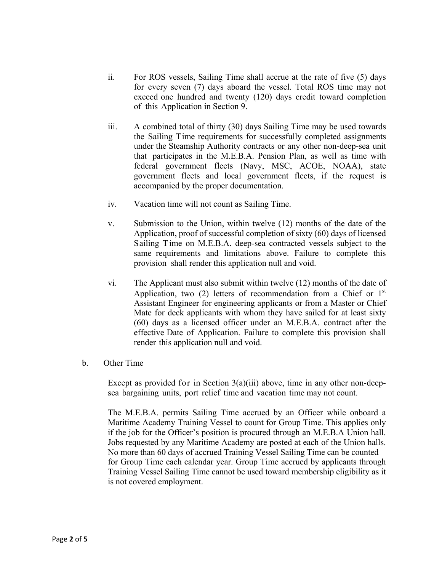- ii. For ROS vessels, Sailing Time shall accrue at the rate of five (5) days for every seven (7) days aboard the vessel. Total ROS time may not exceed one hundred and twenty (120) days credit toward completion of this Application in Section 9.
- iii. A combined total of thirty (30) days Sailing Time may be used towards the Sailing Time requirements for successfully completed assignments under the Steamship Authority contracts or any other non-deep-sea unit that participates in the M.E.B.A. Pension Plan, as well as time with federal government fleets (Navy, MSC, ACOE, NOAA), state government fleets and local government fleets, if the request is accompanied by the proper documentation.
- iv. Vacation time will not count as Sailing Time.
- v. Submission to the Union, within twelve (12) months of the date of the Application, proof of successful completion of sixty (60) days of licensed Sailing T ime on M.E.B.A. deep-sea contracted vessels subject to the same requirements and limitations above. Failure to complete this provision shall render this application null and void.
- vi. The Applicant must also submit within twelve (12) months of the date of Application, two (2) letters of recommendation from a Chief or  $1<sup>st</sup>$ Assistant Engineer for engineering applicants or from a Master or Chief Mate for deck applicants with whom they have sailed for at least sixty (60) days as a licensed officer under an M.E.B.A. contract after the effective Date of Application. Failure to complete this provision shall render this application null and void.
- b. Other Time

Except as provided for in Section  $3(a)(iii)$  above, time in any other non-deepsea bargaining units, port relief time and vacation time may not count.

The M.E.B.A. permits Sailing Time accrued by an Officer while onboard a Maritime Academy Training Vessel to count for Group Time. This applies only if the job for the Officer's position is procured through an M.E.B.A Union hall. Jobs requested by any Maritime Academy are posted at each of the Union halls. No more than 60 days of accrued Training Vessel Sailing Time can be counted for Group Time each calendar year. Group Time accrued by applicants through Training Vessel Sailing Time cannot be used toward membership eligibility as it is not covered employment.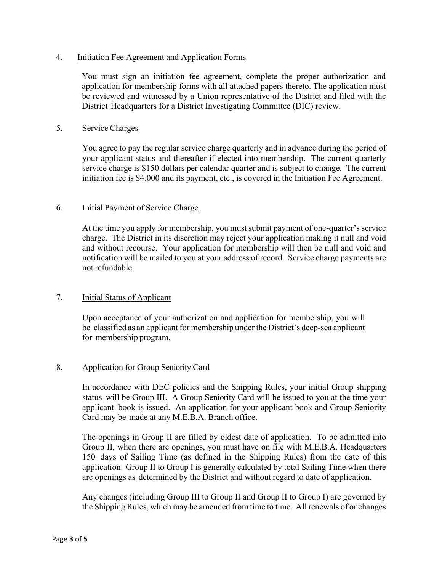## 4. Initiation Fee Agreement and Application Forms

You must sign an initiation fee agreement, complete the proper authorization and application for membership forms with all attached papers thereto. The application must be reviewed and witnessed by a Union representative of the District and filed with the District Headquarters for a District Investigating Committee (DIC) review.

#### 5. Service Charges

You agree to pay the regular service charge quarterly and in advance during the period of your applicant status and thereafter if elected into membership. The current quarterly service charge is \$150 dollars per calendar quarter and is subject to change. The current initiation fee is \$4,000 and its payment, etc., is covered in the Initiation Fee Agreement.

#### 6. Initial Payment of Service Charge

At the time you apply for membership, you must submit payment of one-quarter's service charge. The District in its discretion may reject your application making it null and void and without recourse. Your application for membership will then be null and void and notification will be mailed to you at your address of record. Service charge payments are not refundable.

# 7. Initial Status of Applicant

Upon acceptance of your authorization and application for membership, you will be classified as an applicant for membership under the District's deep-sea applicant for membership program.

# 8. Application for Group Seniority Card

In accordance with DEC policies and the Shipping Rules, your initial Group shipping status will be Group III. A Group Seniority Card will be issued to you at the time your applicant book is issued. An application for your applicant book and Group Seniority Card may be made at any M.E.B.A. Branch office.

The openings in Group II are filled by oldest date of application. To be admitted into Group II, when there are openings, you must have on file with M.E.B.A. Headquarters 150 days of Sailing Time (as defined in the Shipping Rules) from the date of this application. Group II to Group I is generally calculated by total Sailing Time when there are openings as determined by the District and without regard to date of application.

Any changes (including Group III to Group II and Group II to Group I) are governed by the Shipping Rules, which may be amended from time to time. All renewals of or changes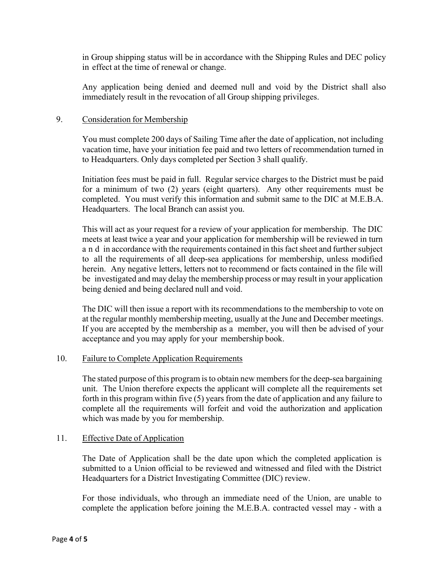in Group shipping status will be in accordance with the Shipping Rules and DEC policy in effect at the time of renewal or change.

Any application being denied and deemed null and void by the District shall also immediately result in the revocation of all Group shipping privileges.

## 9. Consideration for Membership

You must complete 200 days of Sailing Time after the date of application, not including vacation time, have your initiation fee paid and two letters of recommendation turned in to Headquarters. Only days completed per Section 3 shall qualify.

Initiation fees must be paid in full. Regular service charges to the District must be paid for a minimum of two (2) years (eight quarters). Any other requirements must be completed. You must verify this information and submit same to the DIC at M.E.B.A. Headquarters. The local Branch can assist you.

This will act as your request for a review of your application for membership. The DIC meets at least twice a year and your application for membership will be reviewed in turn a n d in accordance with the requirements contained in this fact sheet and further subject to all the requirements of all deep-sea applications for membership, unless modified herein. Any negative letters, letters not to recommend or facts contained in the file will be investigated and may delay the membership process or may result in your application being denied and being declared null and void.

The DIC will then issue a report with its recommendations to the membership to vote on at the regular monthly membership meeting, usually at the June and December meetings. If you are accepted by the membership as a member, you will then be advised of your acceptance and you may apply for your membership book.

#### 10. Failure to Complete Application Requirements

The stated purpose of this program is to obtain new members for the deep-sea bargaining unit. The Union therefore expects the applicant will complete all the requirements set forth in this program within five (5) years from the date of application and any failure to complete all the requirements will forfeit and void the authorization and application which was made by you for membership.

#### 11. Effective Date of Application

The Date of Application shall be the date upon which the completed application is submitted to a Union official to be reviewed and witnessed and filed with the District Headquarters for a District Investigating Committee (DIC) review.

For those individuals, who through an immediate need of the Union, are unable to complete the application before joining the M.E.B.A. contracted vessel may - with a